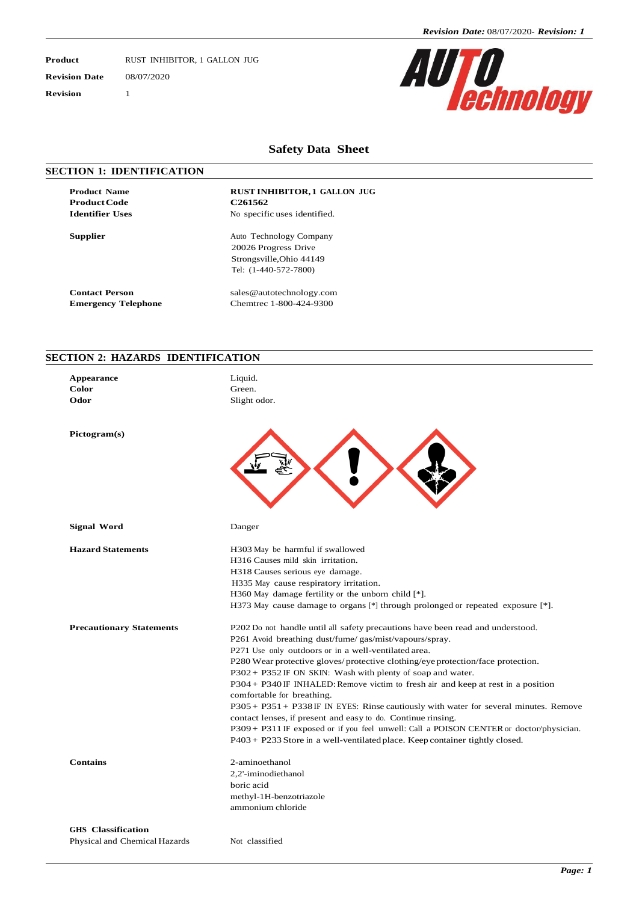**Product** RUST INHIBITOR, 1 GALLON JUG **Revision Date** 08/07/2020 **Revision** 1



#### **Safety Data Sheet**

#### **SECTION 1: IDENTIFICATION**

**Product Code C261562**<br> **Identifier Uses** No specifi

**Product Name RUST INHIBITOR, 1 GALLON JUG No specific uses identified.** 

**Supplier** Auto Technology Company 20026 Progress Drive Strongsville,Ohio 44149 Tel: (1-440-572-7800)

**Contact Person** [sales@autotechnology.com](mailto:sales@autotechnology.com) **Emergency Telephone** Chemtrec 1-800-424-9300

### **SECTION 2: HAZARDS IDENTIFICATION**

| Appearance<br>Color<br>Odor     | Liquid.<br>Green.<br>Slight odor.                                                                                                                                                                                                                                                                                                                                                                                                                                                                                                                                                                                                                                                                                                                                                                       |
|---------------------------------|---------------------------------------------------------------------------------------------------------------------------------------------------------------------------------------------------------------------------------------------------------------------------------------------------------------------------------------------------------------------------------------------------------------------------------------------------------------------------------------------------------------------------------------------------------------------------------------------------------------------------------------------------------------------------------------------------------------------------------------------------------------------------------------------------------|
| Pictogram(s)                    |                                                                                                                                                                                                                                                                                                                                                                                                                                                                                                                                                                                                                                                                                                                                                                                                         |
| Signal Word                     | Danger                                                                                                                                                                                                                                                                                                                                                                                                                                                                                                                                                                                                                                                                                                                                                                                                  |
| <b>Hazard Statements</b>        | H303 May be harmful if swallowed<br>H316 Causes mild skin irritation.<br>H318 Causes serious eye damage.<br>H335 May cause respiratory irritation.<br>H360 May damage fertility or the unborn child $[*]$ .<br>H373 May cause damage to organs $[*]$ through prolonged or repeated exposure $[*]$ .                                                                                                                                                                                                                                                                                                                                                                                                                                                                                                     |
| <b>Precautionary Statements</b> | P202 Do not handle until all safety precautions have been read and understood.<br>P261 Avoid breathing dust/fume/gas/mist/vapours/spray.<br>P271 Use only outdoors or in a well-ventilated area.<br>P280 Wear protective gloves/protective clothing/eye protection/face protection.<br>P302+ P352 IF ON SKIN: Wash with plenty of soap and water.<br>P304 + P340 IF INHALED: Remove victim to fresh air and keep at rest in a position<br>comfortable for breathing.<br>P305+ P351+ P338IF IN EYES: Rinse cautiously with water for several minutes. Remove<br>contact lenses, if present and easy to do. Continue rinsing.<br>P309+ P311 IF exposed or if you feel unwell: Call a POISON CENTER or doctor/physician.<br>$P403 + P233$ Store in a well-ventilated place. Keep container tightly closed. |
| <b>Contains</b>                 | 2-aminoethanol<br>2,2'-iminodiethanol<br>boric acid<br>methyl-1H-benzotriazole<br>ammonium chloride                                                                                                                                                                                                                                                                                                                                                                                                                                                                                                                                                                                                                                                                                                     |
| <b>GHS</b> Classification       |                                                                                                                                                                                                                                                                                                                                                                                                                                                                                                                                                                                                                                                                                                                                                                                                         |
| Physical and Chemical Hazards   | Not classified                                                                                                                                                                                                                                                                                                                                                                                                                                                                                                                                                                                                                                                                                                                                                                                          |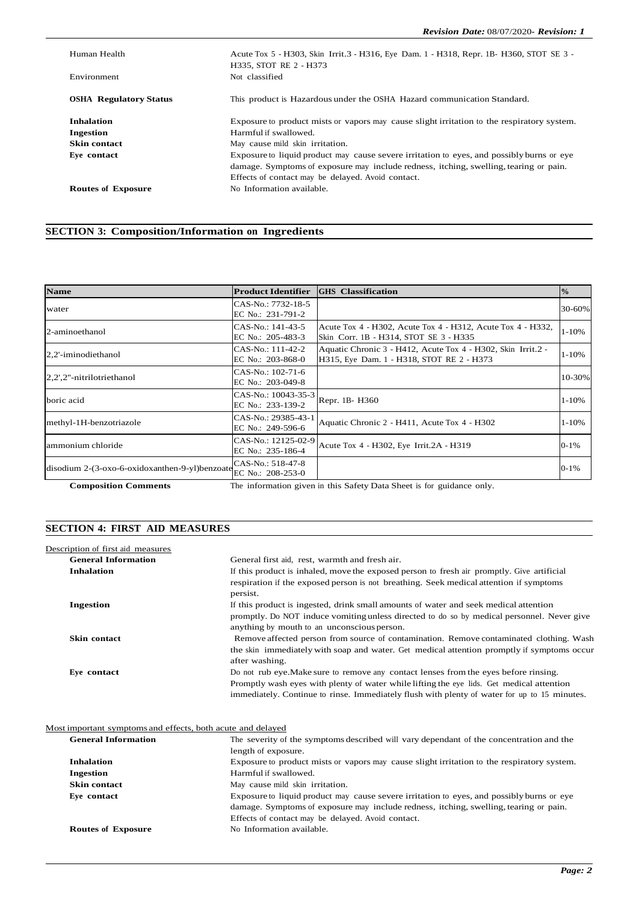| Human Health                  | Acute Tox 5 - H303, Skin Irrit.3 - H316, Eye Dam. 1 - H318, Repr. 1B- H360, STOT SE 3 -<br>H335, STOT RE 2 - H373                                                                                                                       |
|-------------------------------|-----------------------------------------------------------------------------------------------------------------------------------------------------------------------------------------------------------------------------------------|
| Environment                   | Not classified                                                                                                                                                                                                                          |
| <b>OSHA Regulatory Status</b> | This product is Hazardous under the OSHA Hazard communication Standard.                                                                                                                                                                 |
| <b>Inhalation</b>             | Exposure to product mists or vapors may cause slight irritation to the respiratory system.                                                                                                                                              |
| <b>Ingestion</b>              | Harmful if swallowed.                                                                                                                                                                                                                   |
| <b>Skin contact</b>           | May cause mild skin irritation.                                                                                                                                                                                                         |
| Eve contact                   | Exposure to liquid product may cause severe irritation to eyes, and possibly burns or eye<br>damage. Symptoms of exposure may include redness, itching, swelling, tearing or pain.<br>Effects of contact may be delayed. Avoid contact. |
| <b>Routes of Exposure</b>     | No Information available.                                                                                                                                                                                                               |

## **SECTION 3: Composition/Information on Ingredients**

| <b>Name</b>                                                        | <b>Product Identifier</b>                | <b>GHS</b> Classification                                                                                 | $\frac{0}{0}$ |
|--------------------------------------------------------------------|------------------------------------------|-----------------------------------------------------------------------------------------------------------|---------------|
| water                                                              | CAS-No.: 7732-18-5<br>EC No.: 231-791-2  |                                                                                                           | 30-60%        |
| 2-aminoethanol                                                     | CAS-No.: 141-43-5<br>EC No.: 205-483-3   | Acute Tox 4 - H302, Acute Tox 4 - H312, Acute Tox 4 - H332,<br>Skin Corr. 1B - H314, STOT SE 3 - H335     | $1 - 10%$     |
| 2,2'-iminodiethanol                                                | CAS-No.: 111-42-2<br>EC No.: 203-868-0   | Aquatic Chronic 3 - H412, Acute Tox 4 - H302, Skin Irrit.2 -<br>H315, Eye Dam. 1 - H318, STOT RE 2 - H373 | $1 - 10%$     |
| 2,2',2"-nitrilotriethanol                                          | CAS-No.: 102-71-6<br>EC No.: 203-049-8   |                                                                                                           | 10-30%        |
| boric acid                                                         | CAS-No.: 10043-35-3<br>EC No.: 233-139-2 | Repr. 1B-H360                                                                                             | $1 - 10%$     |
| methyl-1H-benzotriazole                                            | CAS-No.: 29385-43-1<br>EC No.: 249-596-6 | Aquatic Chronic 2 - H411, Acute Tox 4 - H302                                                              | $1 - 10%$     |
| ammonium chloride                                                  | CAS-No.: 12125-02-9<br>EC No.: 235-186-4 | Acute Tox 4 - H302, Eye Irrit.2A - H319                                                                   | $0 - 1\%$     |
| disodium 2-(3-oxo-6-oxidoxanthen-9-yl)benzoate $EC$ No.: 208-253-0 | CAS-No.: 518-47-8                        |                                                                                                           | $0 - 1\%$     |

**Composition Comments** The information given in this Safety Data Sheet is for guidance only.

## **SECTION 4: FIRST AID MEASURES**

| Description of first aid measures |                                                                                                                                                                                                                                                                                   |
|-----------------------------------|-----------------------------------------------------------------------------------------------------------------------------------------------------------------------------------------------------------------------------------------------------------------------------------|
| <b>General Information</b>        | General first aid, rest, warmth and fresh air.                                                                                                                                                                                                                                    |
| <b>Inhalation</b>                 | If this product is inhaled, move the exposed person to fresh air promptly. Give artificial<br>respiration if the exposed person is not breathing. Seek medical attention if symptoms<br>persist.                                                                                  |
| <b>Ingestion</b>                  | If this product is ingested, drink small amounts of water and seek medical attention<br>promptly. Do NOT induce vomiting unless directed to do so by medical personnel. Never give<br>anything by mouth to an unconscious person.                                                 |
| <b>Skin contact</b>               | Remove affected person from source of contamination. Remove contaminated clothing. Wash<br>the skin immediately with soap and water. Get medical attention promptly if symptoms occur<br>after washing.                                                                           |
| Eye contact                       | Do not rub eye. Make sure to remove any contact lenses from the eyes before rinsing.<br>Promptly wash eyes with plenty of water while lifting the eye lids. Get medical attention<br>immediately. Continue to rinse. Immediately flush with plenty of water for up to 15 minutes. |

Most important symptoms and effects, both acute and delayed

| <b>General Information</b> | The severity of the symptoms described will vary dependant of the concentration and the    |
|----------------------------|--------------------------------------------------------------------------------------------|
|                            | length of exposure.                                                                        |
| <b>Inhalation</b>          | Exposure to product mists or vapors may cause slight irritation to the respiratory system. |
| Ingestion                  | Harmful if swallowed.                                                                      |
| <b>Skin contact</b>        | May cause mild skin irritation.                                                            |
| Eve contact                | Exposure to liquid product may cause severe irritation to eyes, and possibly burns or eye  |
|                            | damage. Symptoms of exposure may include redness, itching, swelling, tearing or pain.      |
|                            | Effects of contact may be delayed. Avoid contact.                                          |
| <b>Routes of Exposure</b>  | No Information available.                                                                  |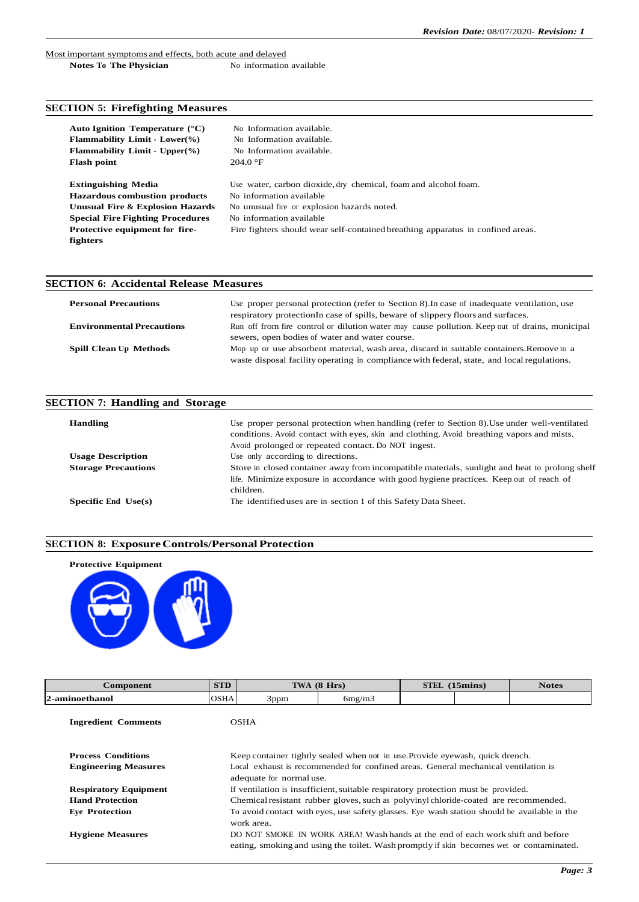#### Most important symptoms and effects, both acute and delayed **Notes To The Physician** No information available

#### **SECTION 5: Firefighting Measures**

| Auto Ignition Temperature $(^{\circ}C)$<br><b>Flammability Limit - Lower (%)</b><br><b>Flammability Limit - Upper <math>\%</math></b><br><b>Flash point</b> | No Information available.<br>No Information available.<br>No Information available.<br>204.0 °F |
|-------------------------------------------------------------------------------------------------------------------------------------------------------------|-------------------------------------------------------------------------------------------------|
| <b>Extinguishing Media</b>                                                                                                                                  | Use water, carbon dioxide, dry chemical, foam and alcohol foam.                                 |
| <b>Hazardous combustion products</b>                                                                                                                        | No information available                                                                        |
| <b>Unusual Fire &amp; Explosion Hazards</b>                                                                                                                 | No unusual fire or explosion hazards noted.                                                     |
| <b>Special Fire Fighting Procedures</b>                                                                                                                     | No information available                                                                        |
| Protective equipment for fire-                                                                                                                              | Fire fighters should wear self-contained breathing apparatus in confined areas.                 |
| fighters                                                                                                                                                    |                                                                                                 |

## **SECTION 6: Accidental Release Measures Personal Precautions** Use proper personal protection (refer to Section 8). In case of inadequate ventilation, use respiratory protectionIn case of spills, beware of slippery floors and surfaces. **Environmental Precautions** Run off from fire control or dilution water may cause pollution. Keep out of drains, municipal sewers, open bodies of water and water course. **Spill Clean Up Methods** Mop up or use absorbent material, wash area, discard in suitable containers.Remove to a waste disposal facility operating in compliancewith federal, state, and localregulations.

#### **SECTION 7: Handling and Storage**

| <b>Handling</b>            | Use proper personal protection when handling (refer to Section 8). Use under well-ventilated<br>conditions. Avoid contact with eyes, skin and clothing. Avoid breathing vapors and mists.<br>Avoid prolonged or repeated contact. Do NOT ingest. |
|----------------------------|--------------------------------------------------------------------------------------------------------------------------------------------------------------------------------------------------------------------------------------------------|
| <b>Usage Description</b>   | Use only according to directions.                                                                                                                                                                                                                |
| <b>Storage Precautions</b> | Store in closed container away from incompatible materials, sunlight and heat to prolong shelf<br>life. Minimize exposure in accordance with good hygiene practices. Keep out of reach of<br>children.                                           |
| Specific End $Use(s)$      | The identified uses are in section 1 of this Safety Data Sheet.                                                                                                                                                                                  |

#### **SECTION 8: ExposureControls/PersonalProtection**



| Component                    | <b>STD</b>                                                                                                     | TWA $(8 \text{ Hrs})$ |                                                                                                                                                                            | STEL (15mins) | <b>Notes</b> |
|------------------------------|----------------------------------------------------------------------------------------------------------------|-----------------------|----------------------------------------------------------------------------------------------------------------------------------------------------------------------------|---------------|--------------|
| 2-aminoethanol               | <b>OSHA</b>                                                                                                    | 3ppm                  | 6mg/m3                                                                                                                                                                     |               |              |
| <b>Ingredient Comments</b>   |                                                                                                                | <b>OSHA</b>           |                                                                                                                                                                            |               |              |
| <b>Process Conditions</b>    |                                                                                                                |                       | Keep container tightly sealed when not in use. Provide eyewash, quick drench.                                                                                              |               |              |
| <b>Engineering Measures</b>  | Local exhaust is recommended for confined areas. General mechanical ventilation is<br>adequate for normal use. |                       |                                                                                                                                                                            |               |              |
| <b>Respiratory Equipment</b> | If ventilation is insufficient, suitable respiratory protection must be provided.                              |                       |                                                                                                                                                                            |               |              |
| <b>Hand Protection</b>       | Chemical resistant rubber gloves, such as polyvinyl chloride-coated are recommended.                           |                       |                                                                                                                                                                            |               |              |
| <b>Eve Protection</b>        |                                                                                                                | work area.            | To avoid contact with eyes, use safety glasses. Eye wash station should be available in the                                                                                |               |              |
| <b>Hygiene Measures</b>      |                                                                                                                |                       | DO NOT SMOKE IN WORK AREA! Wash hands at the end of each work shift and before<br>eating, smoking and using the toilet. Wash promptly if skin becomes wet or contaminated. |               |              |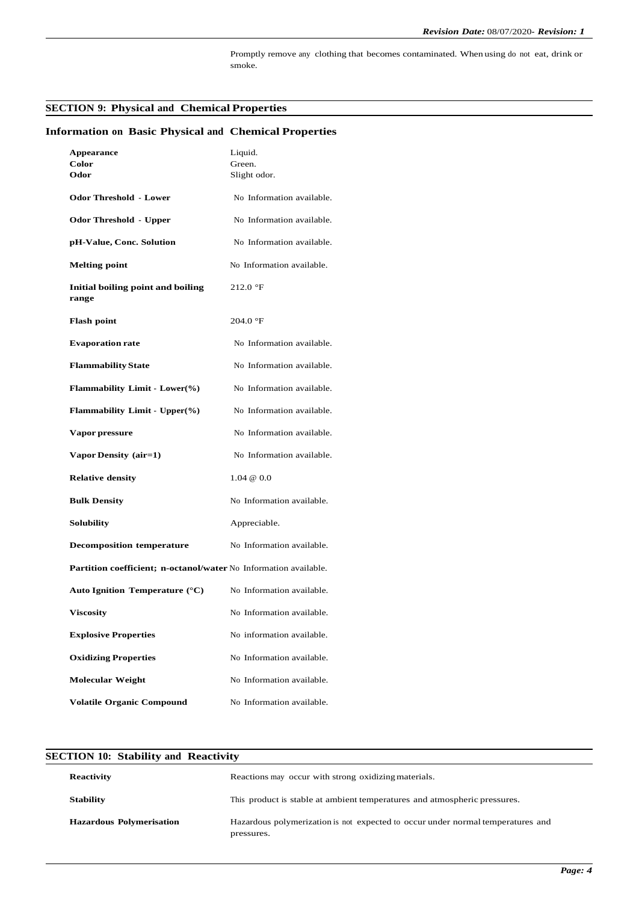Promptly remove any clothing that becomes contaminated. When using do not eat, drink or smoke.

## **SECTION 9: Physical and Chemical Properties**

| <b>Appearance</b>                                                | Liquid.                   |
|------------------------------------------------------------------|---------------------------|
| Color<br>Odor                                                    | Green.<br>Slight odor.    |
|                                                                  |                           |
| <b>Odor Threshold - Lower</b>                                    | No Information available. |
| <b>Odor Threshold - Upper</b>                                    | No Information available. |
| pH-Value, Conc. Solution                                         | No Information available. |
| <b>Melting point</b>                                             | No Information available. |
| Initial boiling point and boiling<br>range                       | $212.0 \text{ }^{\circ}F$ |
| <b>Flash point</b>                                               | 204.0 °F                  |
| <b>Evaporation rate</b>                                          | No Information available. |
| <b>Flammability State</b>                                        | No Information available. |
| <b>Flammability Limit - Lower(%)</b>                             | No Information available. |
| Flammability Limit - Upper(%)                                    | No Information available. |
| Vapor pressure                                                   | No Information available. |
| Vapor Density (air=1)                                            | No Information available. |
| <b>Relative density</b>                                          | $1.04 \& 0.0$             |
| <b>Bulk Density</b>                                              | No Information available. |
| Solubility                                                       | Appreciable.              |
| <b>Decomposition temperature</b>                                 | No Information available. |
| Partition coefficient; n-octanol/water No Information available. |                           |
| Auto Ignition Temperature $(^{\circ}C)$                          | No Information available. |
| <b>Viscosity</b>                                                 | No Information available. |
| <b>Explosive Properties</b>                                      | No information available. |
| <b>Oxidizing Properties</b>                                      | No Information available. |
| <b>Molecular Weight</b>                                          | No Information available. |
| <b>Volatile Organic Compound</b>                                 | No Information available. |

## **Information on Basic Physical and Chemical Properties**

| <b>SECTION 10: Stability and Reactivity</b> |                                                                                               |  |
|---------------------------------------------|-----------------------------------------------------------------------------------------------|--|
| Reactivity                                  | Reactions may occur with strong oxidizing materials.                                          |  |
| <b>Stability</b>                            | This product is stable at ambient temperatures and atmospheric pressures.                     |  |
| <b>Hazardous Polymerisation</b>             | Hazardous polymerization is not expected to occur under normal temperatures and<br>pressures. |  |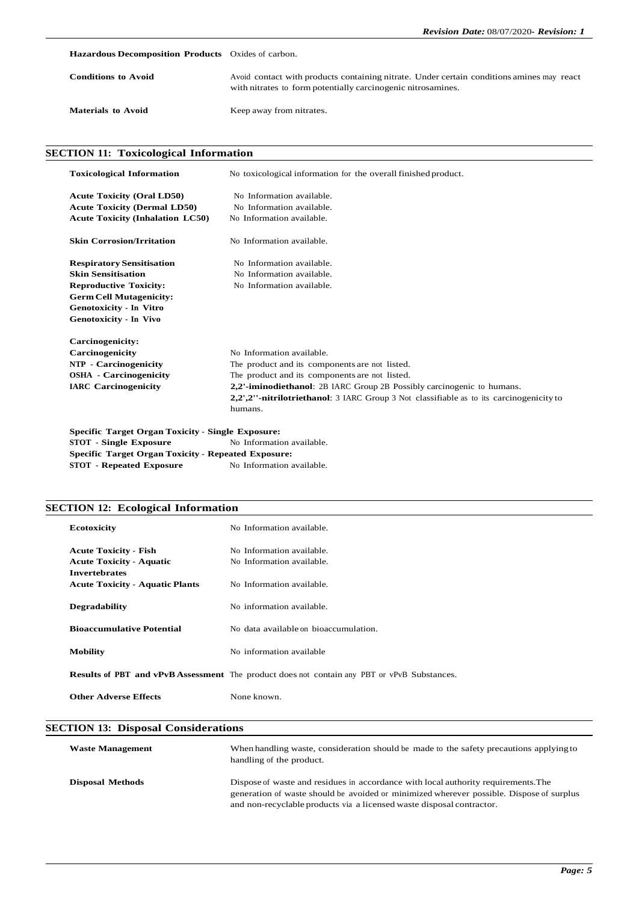**Hazardous Decomposition Products** Oxides of carbon.

| <b>Conditions to Avoid</b> | Avoid contact with products containing nitrate. Under certain conditions amines may react<br>with nitrates to form potentially carcinogenic nitrosamines. |
|----------------------------|-----------------------------------------------------------------------------------------------------------------------------------------------------------|
| <b>Materials to Avoid</b>  | Keep away from nitrates.                                                                                                                                  |

### **SECTION 11: Toxicological Information**

| <b>Toxicological Information</b>                         | No toxicological information for the overall finished product.                           |
|----------------------------------------------------------|------------------------------------------------------------------------------------------|
| <b>Acute Toxicity (Oral LD50)</b>                        | No Information available.                                                                |
| <b>Acute Toxicity (Dermal LD50)</b>                      | No Information available.                                                                |
| <b>Acute Toxicity (Inhalation LC50)</b>                  | No Information available.                                                                |
| <b>Skin Corrosion/Irritation</b>                         | No Information available.                                                                |
| <b>Respiratory Sensitisation</b>                         | No Information available.                                                                |
| <b>Skin Sensitisation</b>                                | No Information available.                                                                |
| <b>Reproductive Toxicity:</b>                            | No Information available.                                                                |
| <b>Germ Cell Mutagenicity:</b>                           |                                                                                          |
| <b>Genotoxicity - In Vitro</b>                           |                                                                                          |
| Genotoxicity - In Vivo                                   |                                                                                          |
| Carcinogenicity:                                         |                                                                                          |
| Carcinogenicity                                          | No Information available.                                                                |
| <b>NTP</b> - Carcinogenicity                             | The product and its components are not listed.                                           |
| <b>OSHA</b> - Carcinogenicity                            | The product and its components are not listed.                                           |
| <b>IARC</b> Carcinogenicity                              | 2,2'-iminodiethanol: 2B IARC Group 2B Possibly carcinogenic to humans.                   |
|                                                          | 2,2',2''-nitrilotriethanol: 3 IARC Group 3 Not classifiable as to its carcinogenicity to |
|                                                          | humans.                                                                                  |
| <b>Specific Target Organ Toxicity - Single Exposure:</b> |                                                                                          |

**STOT** - **Single Exposure No Information available. Specific Target Organ Toxicity - Repeated Exposure: STOT - Repeated Exposure** No Information available.

### **SECTION 12: Ecological Information**

| Ecotoxicity                                                                             | No Information available.                                                                          |
|-----------------------------------------------------------------------------------------|----------------------------------------------------------------------------------------------------|
| <b>Acute Toxicity - Fish</b><br><b>Acute Toxicity - Aquatic</b><br><b>Invertebrates</b> | No Information available.<br>No Information available.                                             |
| <b>Acute Toxicity - Aquatic Plants</b><br>No Information available.                     |                                                                                                    |
| <b>Degradability</b>                                                                    | No information available.                                                                          |
| <b>Bioaccumulative Potential</b>                                                        | No data available on bioaccumulation.                                                              |
| <b>Mobility</b>                                                                         | No information available                                                                           |
|                                                                                         | <b>Results of PBT and vPvB Assessment</b> The product does not contain any PBT or vPvB Substances. |
| <b>Other Adverse Effects</b>                                                            | None known.                                                                                        |

### **SECTION 13: Disposal Considerations**

| <b>Waste Management</b> | When handling waste, consideration should be made to the safety precautions applying to<br>handling of the product.                                                                                                                                     |
|-------------------------|---------------------------------------------------------------------------------------------------------------------------------------------------------------------------------------------------------------------------------------------------------|
| <b>Disposal Methods</b> | Dispose of waste and residues in accordance with local authority requirements. The<br>generation of waste should be avoided or minimized wherever possible. Dispose of surplus<br>and non-recyclable products via a licensed waste disposal contractor. |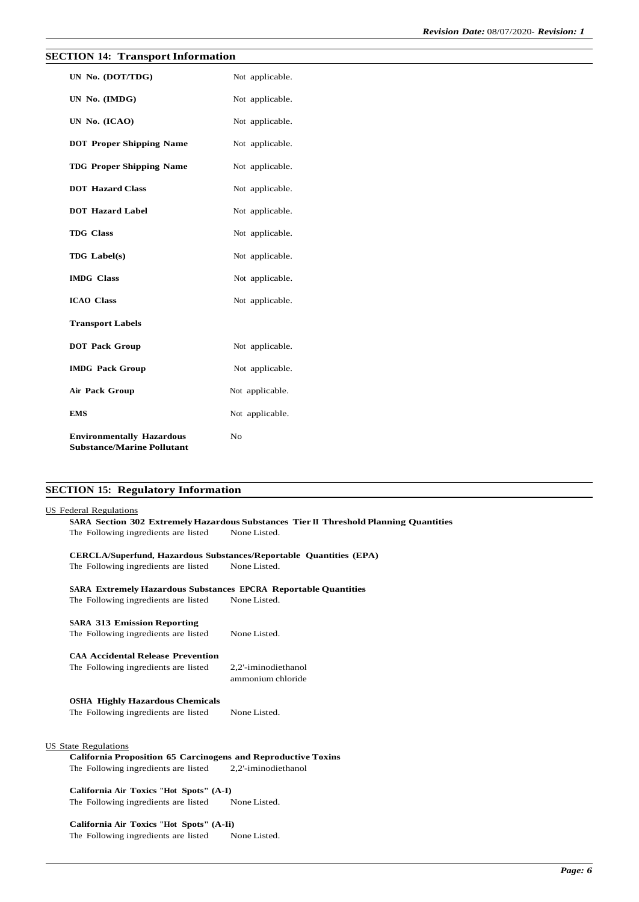## **SECTION 14: Transport Information**

| UN No. (DOT/TDG)                                                      | Not applicable. |
|-----------------------------------------------------------------------|-----------------|
| UN No. (IMDG)                                                         | Not applicable. |
| UN No. (ICAO)                                                         | Not applicable. |
| <b>DOT Proper Shipping Name</b>                                       | Not applicable. |
| <b>TDG Proper Shipping Name</b>                                       | Not applicable. |
| <b>DOT Hazard Class</b>                                               | Not applicable. |
| <b>DOT Hazard Label</b>                                               | Not applicable. |
| <b>TDG</b> Class                                                      | Not applicable. |
| <b>TDG</b> Label(s)                                                   | Not applicable. |
| <b>IMDG</b> Class                                                     | Not applicable. |
| <b>ICAO Class</b>                                                     | Not applicable. |
| <b>Transport Labels</b>                                               |                 |
| <b>DOT Pack Group</b>                                                 | Not applicable. |
| <b>IMDG</b> Pack Group                                                | Not applicable. |
| Air Pack Group                                                        | Not applicable. |
| <b>EMS</b>                                                            | Not applicable. |
| <b>Environmentally Hazardous</b><br><b>Substance/Marine Pollutant</b> | No              |

# **SECTION 15: Regulatory Information**

### US Federal Regulations

**SARA Section 302 ExtremelyHazardous Substances Tier II Threshold Planning Quantities** The Following ingredients are listed None Listed.

|                                                                        | <b>CERCLA/Superfund, Hazardous Substances/Reportable Quantities (EPA)</b> |  |  |  |  |
|------------------------------------------------------------------------|---------------------------------------------------------------------------|--|--|--|--|
| The Following ingredients are listed                                   | None Listed.                                                              |  |  |  |  |
| <b>SARA Extremely Hazardous Substances EPCRA Reportable Quantities</b> |                                                                           |  |  |  |  |
| The Following ingredients are listed                                   | None Listed.                                                              |  |  |  |  |
| <b>SARA 313 Emission Reporting</b>                                     |                                                                           |  |  |  |  |
| The Following ingredients are listed                                   | None Listed.                                                              |  |  |  |  |
| <b>CAA Accidental Release Prevention</b>                               |                                                                           |  |  |  |  |
| The Following ingredients are listed                                   | 2,2'-iminodiethanol<br>ammonium chloride                                  |  |  |  |  |
| <b>OSHA Highly Hazardous Chemicals</b>                                 |                                                                           |  |  |  |  |
| The Following ingredients are listed                                   | None Listed.                                                              |  |  |  |  |
|                                                                        |                                                                           |  |  |  |  |
| US State Regulations                                                   |                                                                           |  |  |  |  |
| <b>California Proposition 65 Carcinogens and Reproductive Toxins</b>   |                                                                           |  |  |  |  |
| The Following ingredients are listed                                   | 2,2'-iminodiethanol                                                       |  |  |  |  |

**California Air Toxics "Hot Spots" (A-I)** The Following ingredients are listed None Listed.

**California Air Toxics "Hot Spots" (A-Ii)** The Following ingredients are listed None Listed.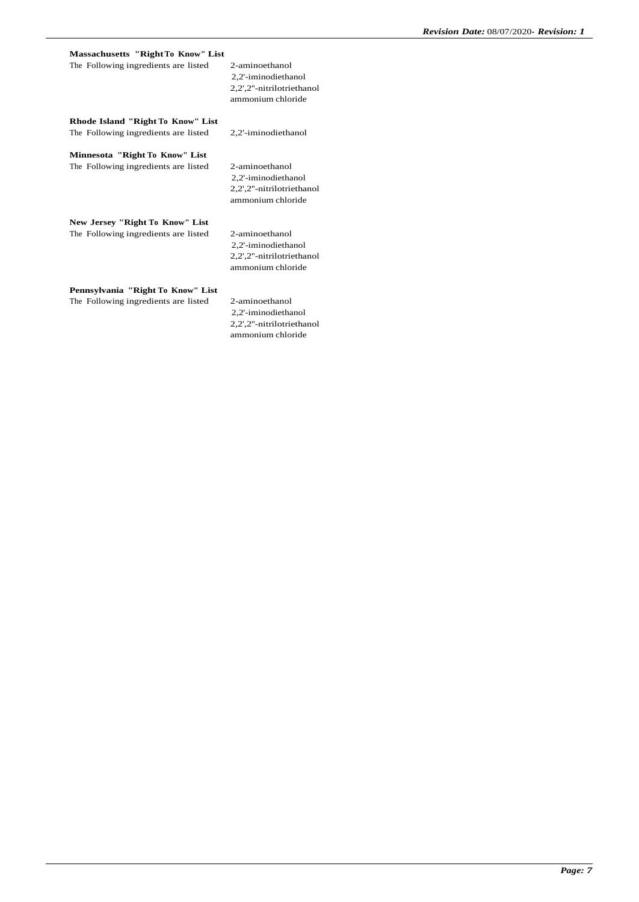| Massachusetts "Right To Know" List   |                                                                                         |
|--------------------------------------|-----------------------------------------------------------------------------------------|
| The Following ingredients are listed | 2-aminoethanol<br>2,2'-iminodiethanol<br>2,2',2"-nitrilotriethanol<br>ammonium chloride |
| Rhode Island "Right To Know" List    |                                                                                         |
| The Following ingredients are listed | 2,2'-iminodiethanol                                                                     |
| Minnesota "Right To Know" List       |                                                                                         |
| The Following ingredients are listed | 2-aminoethanol                                                                          |
|                                      | 2,2'-iminodiethanol                                                                     |
|                                      | 2,2',2"-nitrilotriethanol<br>ammonium chloride                                          |
| New Jersey "Right To Know" List      |                                                                                         |
| The Following ingredients are listed | 2-aminoethanol                                                                          |
|                                      | 2,2'-iminodiethanol                                                                     |
|                                      | 2,2',2"-nitrilotriethanol                                                               |
|                                      | ammonium chloride                                                                       |
| Pennsylvania "Right To Know" List    |                                                                                         |
| The Following ingredients are listed | 2-aminoethanol                                                                          |
|                                      | 2,2'-iminodiethanol                                                                     |
|                                      | 2,2',2"-nitrilotriethanol                                                               |

ammonium chloride